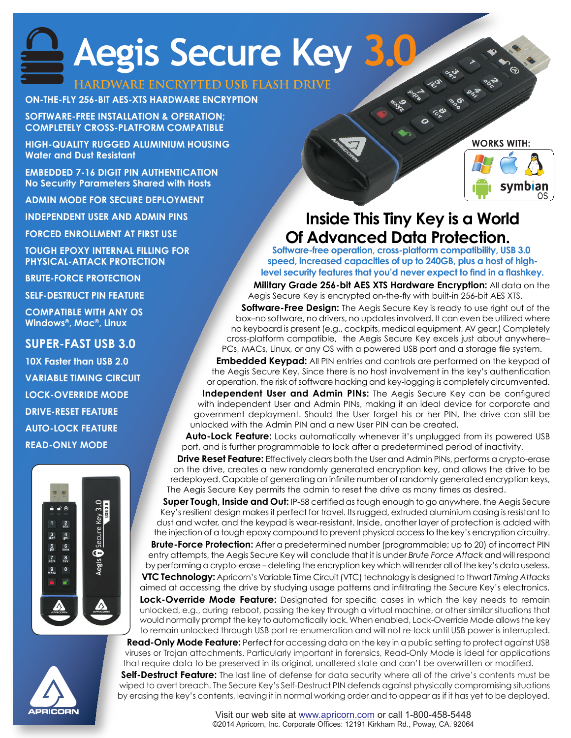# **Aegis Secure Key 3.0**

### **HARDWARE ENCRYPTED USB FLASH DRIVE**

#### **ON-THE-FLY 256-BIT AES-XTS HARDWARE ENCRYPTION**

**SOFTWARE-FREE INSTALLATION & OPERATION; COMPLETELY CROSS-PLATFORM COMPATIBLE**

**HIGH-QUALITY RUGGED ALUMINIUM HOUSING Water and Dust Resistant**

**EMBEDDED 7-16 DIGIT PIN AUTHENTICATION No Security Parameters Shared with Hosts**

**ADMIN MODE FOR SECURE DEPLOYMENT**

**INDEPENDENT USER AND ADMIN PINS**

**FORCED ENROLLMENT AT FIRST USE**

**TOUGH EPOXY INTERNAL FILLING FOR PHYSICAL-ATTACK PROTECTION**

**BRUTE-FORCE PROTECTION**

**SELF-DESTRUCT PIN FEATURE**

**COMPATIBLE WITH ANY OS Windows®, Mac®, Linux**

#### **SUPER-FAST USB 3.0**

**10X Faster than USB 2.0 VARIABLE TIMING CIRCUIT LOCK-OVERRIDE MODE DRIVE-RESET FEATURE AUTO-LOCK FEATURE READ-ONLY MODE**









**Software-free operation, cross-platform compatibility, USB 3.0 speed, increased capacities of up to 240GB, plus a host of highlevel security features that you'd never expect to find in a flashkey.**

**Military Grade 256-bit AES XTS Hardware Encryption:** All data on the Aegis Secure Key is encrypted on-the-fly with built-in 256-bit AES XTS.

**Software-Free Design:** The Aegis Secure Key is ready to use right out of the box–no software, no drivers, no updates involved. It can even be utilized where no keyboard is present (e.g., cockpits, medical equipment, AV gear.) Completely cross-platform compatible, the Aegis Secure Key excels just about anywhere– PCs, MACs, Linux, or any OS with a powered USB port and a storage file system.

**Embedded Keypad:** All PIN entries and controls are performed on the keypad of the Aegis Secure Key. Since there is no host involvement in the key's authentication or operation, the risk of software hacking and key-logging is completely circumvented.

**Independent User and Admin PINs:** The Aegis Secure Key can be configured with independent User and Admin PINs, making it an ideal device for corporate and government deployment. Should the User forget his or her PIN, the drive can still be unlocked with the Admin PIN and a new User PIN can be created.

**Auto-Lock Feature:** Locks automatically whenever it's unplugged from its powered USB port, and is further programmable to lock after a predetermined period of inactivity.

**Drive Reset Feature:** Effectively clears both the User and Admin PINs, performs a crypto-erase on the drive, creates a new randomly generated encryption key, and allows the drive to be redeployed. Capable of generating an infinite number of randomly generated encryption keys, The Aegis Secure Key permits the admin to reset the drive as many times as desired.

**Super Tough, Inside and Out:** IP-58 certified as tough enough to go anywhere, the Aegis Secure Key's resilient design makes it perfect for travel. Its rugged, extruded aluminium casing is resistant to dust and water, and the keypad is wear-resistant. Inside, another layer of protection is added with the injection of a tough epoxy compound to prevent physical access to the key's encryption circuitry. **Brute-Force Protection:** After a predetermined number (programmable; up to 20) of incorrect PIN

entry attempts, the Aegis Secure Key will conclude that it is under *Brute Force Attack* and will respond by performing a crypto-erase – deleting the encryption key which will render all of the key's data useless.

**VTC Technology:** Apricorn's Variable Time Circuit (VTC) technology is designed to thwart *Timing Attacks*  aimed at accessing the drive by studying usage patterns and infiltrating the Secure Key's electronics.

**Lock-Override Mode Feature:** Designated for specific cases in which the key needs to remain unlocked, e.g., during reboot, passing the key through a virtual machine, or other similar situations that would normally prompt the key to automatically lock. When enabled, Lock-Override Mode allows the key to remain unlocked through USB port re-enumeration and will not re-lock until USB power is interrupted.

**Read-Only Mode Feature:** Perfect for accessing data on the key in a public setting to protect against USB viruses or Trojan attachments. Particularly important in forensics, Read-Only Mode is ideal for applications that require data to be preserved in its original, unaltered state and can't be overwritten or modified.

**Self-Destruct Feature:** The last line of defense for data security where all of the drive's contents must be wiped to avert breach. The Secure Key's Self-Destruct PIN defends against physically compromising situations by erasing the key's contents, leaving it in normal working order and to appear as if it has yet to be deployed.

> Visit our web site at www.apricorn.com or call 1-800-458-5448 ©2014 Apricorn, Inc. Corporate Offices: 12191 Kirkham Rd., Poway, CA. 92064